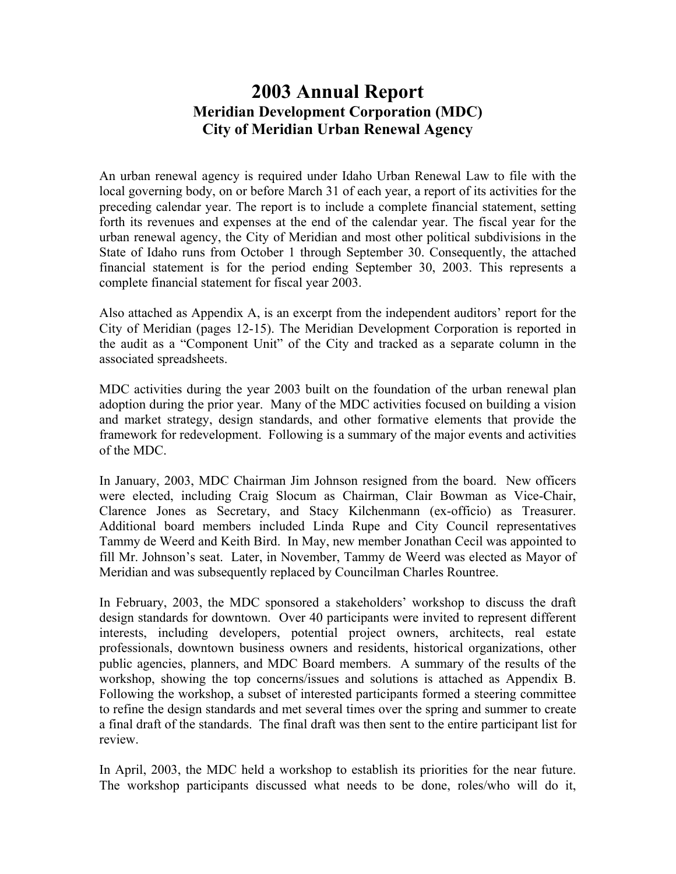## **2003 Annual Report Meridian Development Corporation (MDC) City of Meridian Urban Renewal Agency**

An urban renewal agency is required under Idaho Urban Renewal Law to file with the local governing body, on or before March 31 of each year, a report of its activities for the preceding calendar year. The report is to include a complete financial statement, setting forth its revenues and expenses at the end of the calendar year. The fiscal year for the urban renewal agency, the City of Meridian and most other political subdivisions in the State of Idaho runs from October 1 through September 30. Consequently, the attached financial statement is for the period ending September 30, 2003. This represents a complete financial statement for fiscal year 2003.

Also attached as Appendix A, is an excerpt from the independent auditors' report for the City of Meridian (pages 12-15). The Meridian Development Corporation is reported in the audit as a "Component Unit" of the City and tracked as a separate column in the associated spreadsheets.

MDC activities during the year 2003 built on the foundation of the urban renewal plan adoption during the prior year. Many of the MDC activities focused on building a vision and market strategy, design standards, and other formative elements that provide the framework for redevelopment. Following is a summary of the major events and activities of the MDC.

In January, 2003, MDC Chairman Jim Johnson resigned from the board. New officers were elected, including Craig Slocum as Chairman, Clair Bowman as Vice-Chair, Clarence Jones as Secretary, and Stacy Kilchenmann (ex-officio) as Treasurer. Additional board members included Linda Rupe and City Council representatives Tammy de Weerd and Keith Bird. In May, new member Jonathan Cecil was appointed to fill Mr. Johnson's seat. Later, in November, Tammy de Weerd was elected as Mayor of Meridian and was subsequently replaced by Councilman Charles Rountree.

In February, 2003, the MDC sponsored a stakeholders' workshop to discuss the draft design standards for downtown. Over 40 participants were invited to represent different interests, including developers, potential project owners, architects, real estate professionals, downtown business owners and residents, historical organizations, other public agencies, planners, and MDC Board members. A summary of the results of the workshop, showing the top concerns/issues and solutions is attached as Appendix B. Following the workshop, a subset of interested participants formed a steering committee to refine the design standards and met several times over the spring and summer to create a final draft of the standards. The final draft was then sent to the entire participant list for review.

In April, 2003, the MDC held a workshop to establish its priorities for the near future. The workshop participants discussed what needs to be done, roles/who will do it,